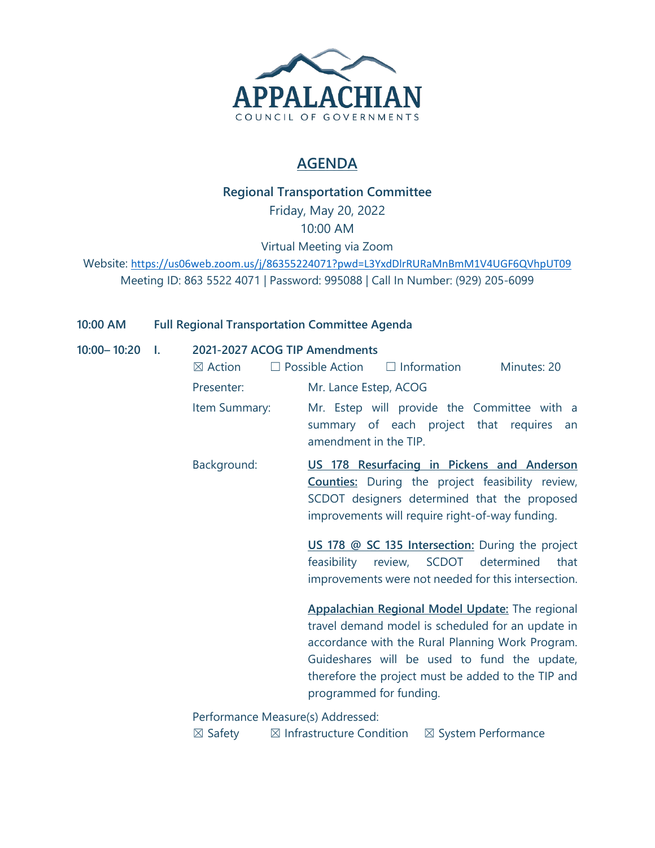

## **AGENDA**

## **Regional Transportation Committee**

Friday, May 20, 2022 10:00 AM

Virtual Meeting via Zoom

Website: <https://us06web.zoom.us/j/86355224071?pwd=L3YxdDlrRURaMnBmM1V4UGF6QVhpUT09> Meeting ID: 863 5522 4071 | Password: 995088 | Call In Number: (929) 205-6099

### **10:00 AM Full Regional Transportation Committee Agenda**

**10:00–10:20** 

| I. | 2021-2027 ACOG TIP Amendments<br>$\boxtimes$ Action | $\Box$ Possible Action $\Box$ Information<br>Minutes: 20                                                                                                                                                 |  |  |  |  |  |  |  |  |
|----|-----------------------------------------------------|----------------------------------------------------------------------------------------------------------------------------------------------------------------------------------------------------------|--|--|--|--|--|--|--|--|
|    | Presenter:                                          | Mr. Lance Estep, ACOG                                                                                                                                                                                    |  |  |  |  |  |  |  |  |
|    | Item Summary:                                       | Mr. Estep will provide the Committee with a<br>summary of each project that requires<br>an<br>amendment in the TIP.                                                                                      |  |  |  |  |  |  |  |  |
|    | Background:                                         | US 178 Resurfacing in Pickens and Anderson<br><b>Counties:</b> During the project feasibility review,<br>SCDOT designers determined that the proposed<br>improvements will require right-of-way funding. |  |  |  |  |  |  |  |  |
|    |                                                     | US 178 @ SC 135 Intersection: During the project<br>feasibility review, SCDOT determined<br>that<br>improvements were not needed for this intersection.                                                  |  |  |  |  |  |  |  |  |
|    |                                                     | Appalachian Regional Model Update: The regional<br>travel demand model is scheduled for an update in<br>accordance with the Rural Planning Work Program.                                                 |  |  |  |  |  |  |  |  |

 $\mathsf{v}$ ith the Rural Planning Work Progra Guideshares will be used to fund the update, therefore the project must be added to the TIP and programmed for funding.

Performance Measure(s) Addressed:

 $\boxtimes$  Safety  $\boxtimes$  Infrastructure Condition  $\boxtimes$  System Performance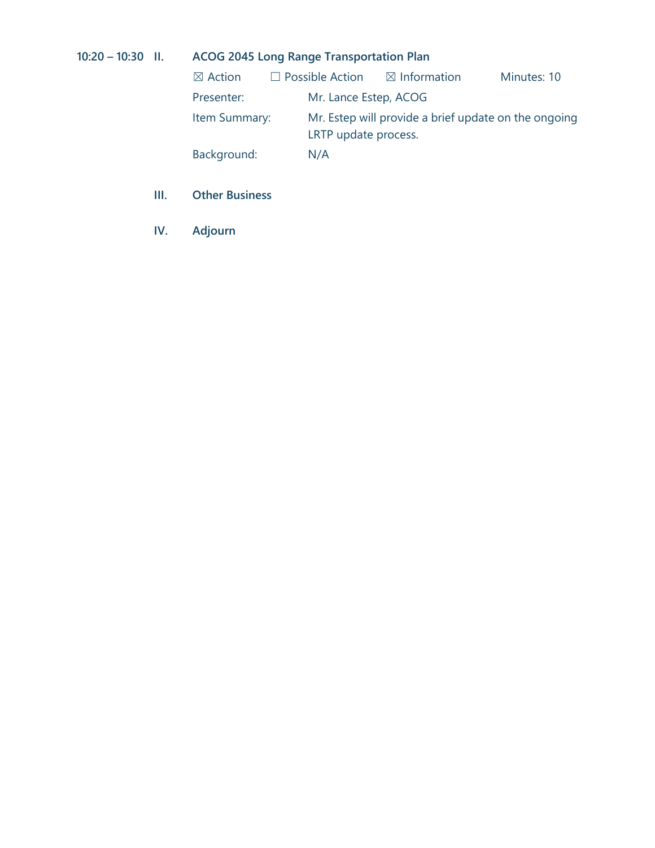## **10:20 – 10:30 II. ACOG 2045 Long Range Transportation Plan**

| $\boxtimes$ Action | $\Box$ Possible Action | $\boxtimes$ Information                                                      | Minutes: 10 |  |  |  |  |  |  |
|--------------------|------------------------|------------------------------------------------------------------------------|-------------|--|--|--|--|--|--|
| Presenter:         | Mr. Lance Estep, ACOG  |                                                                              |             |  |  |  |  |  |  |
| Item Summary:      |                        | Mr. Estep will provide a brief update on the ongoing<br>LRTP update process. |             |  |  |  |  |  |  |
| Background:        | N/A                    |                                                                              |             |  |  |  |  |  |  |

- **III. Other Business**
- **IV. Adjourn**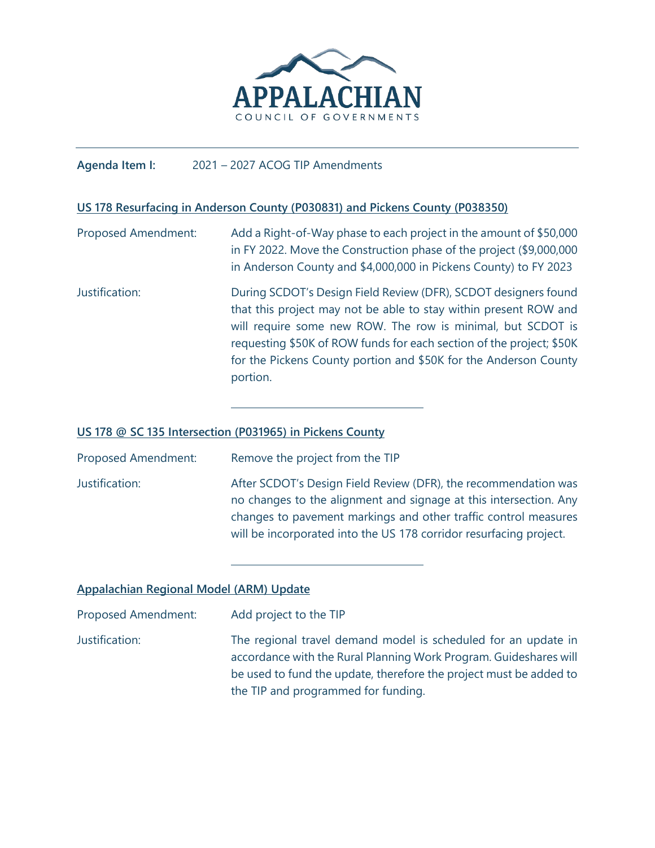

#### **Agenda Item I:** 2021 – 2027 ACOG TIP Amendments

#### **US 178 Resurfacing in Anderson County (P030831) and Pickens County (P038350)**

Proposed Amendment: Add a Right-of-Way phase to each project in the amount of \$50,000 in FY 2022. Move the Construction phase of the project (\$9,000,000 in Anderson County and \$4,000,000 in Pickens County) to FY 2023 Justification: During SCDOT's Design Field Review (DFR), SCDOT designers found that this project may not be able to stay within present ROW and will require some new ROW. The row is minimal, but SCDOT is requesting \$50K of ROW funds for each section of the project; \$50K for the Pickens County portion and \$50K for the Anderson County portion.

#### **US 178 @ SC 135 Intersection (P031965) in Pickens County**

Proposed Amendment: Remove the project from the TIP Justification: After SCDOT's Design Field Review (DFR), the recommendation was no changes to the alignment and signage at this intersection. Any changes to pavement markings and other traffic control measures will be incorporated into the US 178 corridor resurfacing project.

#### **Appalachian Regional Model (ARM) Update**

| Proposed Amendment: | Add project to the TIP                                                                                                                                                                                                                           |
|---------------------|--------------------------------------------------------------------------------------------------------------------------------------------------------------------------------------------------------------------------------------------------|
| Justification:      | The regional travel demand model is scheduled for an update in<br>accordance with the Rural Planning Work Program. Guideshares will<br>be used to fund the update, therefore the project must be added to<br>the TIP and programmed for funding. |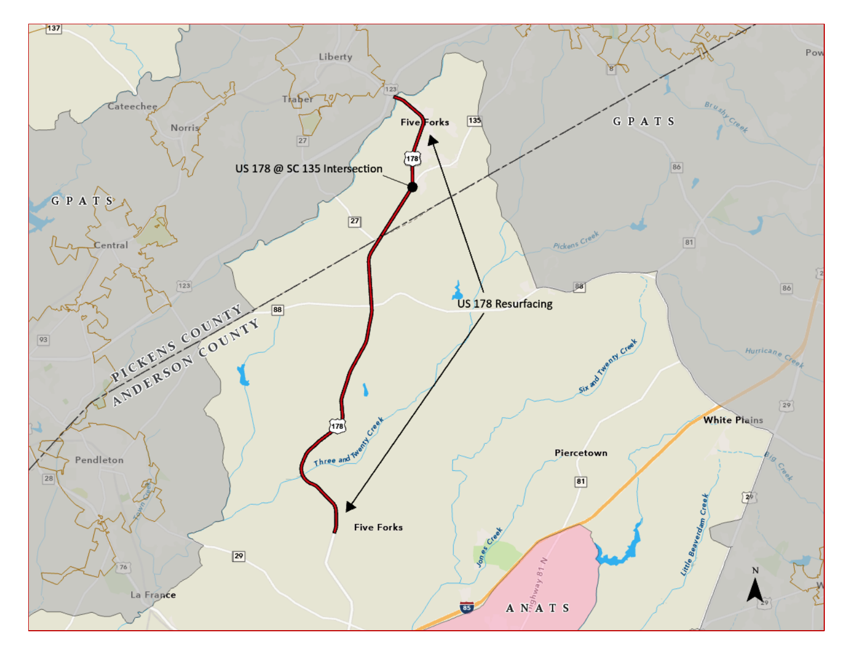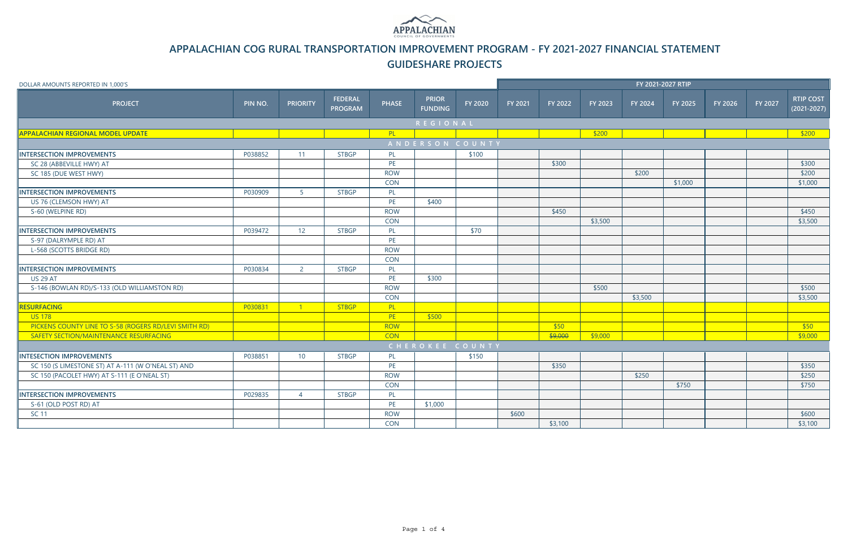| DOLLAR AMOUNTS REPORTED IN 1,000'S                    |         |                 |                                  |              |                                |         | FY 2021-2027 RTIP |         |         |         |         |         |         |                                     |
|-------------------------------------------------------|---------|-----------------|----------------------------------|--------------|--------------------------------|---------|-------------------|---------|---------|---------|---------|---------|---------|-------------------------------------|
| <b>PROJECT</b>                                        | PIN NO. | <b>PRIORITY</b> | <b>FEDERAL</b><br><b>PROGRAM</b> | <b>PHASE</b> | <b>PRIOR</b><br><b>FUNDING</b> | FY 2020 | FY 2021           | FY 2022 | FY 2023 | FY 2024 | FY 2025 | FY 2026 | FY 2027 | <b>RTIP COST</b><br>$(2021 - 2027)$ |
|                                                       |         |                 |                                  |              | <b>REGIONAL</b>                |         |                   |         |         |         |         |         |         |                                     |
| <b>APPALACHIAN REGIONAL MODEL UPDATE</b>              |         |                 |                                  | PL           |                                |         |                   |         | \$200   |         |         |         |         | \$200                               |
|                                                       |         |                 |                                  |              | ANDERSON COUNTY                |         |                   |         |         |         |         |         |         |                                     |
| <b>INTERSECTION IMPROVEMENTS</b>                      | P038852 | 11              | <b>STBGP</b>                     | PL           |                                | \$100   |                   |         |         |         |         |         |         |                                     |
| SC 28 (ABBEVILLE HWY) AT                              |         |                 |                                  | PE           |                                |         |                   | \$300   |         |         |         |         |         | \$300                               |
| SC 185 (DUE WEST HWY)                                 |         |                 |                                  | <b>ROW</b>   |                                |         |                   |         |         | \$200   |         |         |         | \$200                               |
|                                                       |         |                 |                                  | <b>CON</b>   |                                |         |                   |         |         |         | \$1,000 |         |         | \$1,000                             |
| <b>INTERSECTION IMPROVEMENTS</b>                      | P030909 | 5 <sup>1</sup>  | <b>STBGP</b>                     | PL           |                                |         |                   |         |         |         |         |         |         |                                     |
| US 76 (CLEMSON HWY) AT                                |         |                 |                                  | PE           | \$400                          |         |                   |         |         |         |         |         |         |                                     |
| S-60 (WELPINE RD)                                     |         |                 |                                  | <b>ROW</b>   |                                |         |                   | \$450   |         |         |         |         |         | \$450                               |
|                                                       |         |                 |                                  | <b>CON</b>   |                                |         |                   |         | \$3,500 |         |         |         |         | \$3,500                             |
| <b>INTERSECTION IMPROVEMENTS</b>                      | P039472 | 12 <sup>°</sup> | <b>STBGP</b>                     | PL           |                                | \$70    |                   |         |         |         |         |         |         |                                     |
| S-97 (DALRYMPLE RD) AT                                |         |                 |                                  | PE           |                                |         |                   |         |         |         |         |         |         |                                     |
| L-568 (SCOTTS BRIDGE RD)                              |         |                 |                                  | <b>ROW</b>   |                                |         |                   |         |         |         |         |         |         |                                     |
|                                                       |         |                 |                                  | CON          |                                |         |                   |         |         |         |         |         |         |                                     |
| <b>INTERSECTION IMPROVEMENTS</b>                      | P030834 | $\overline{2}$  | <b>STBGP</b>                     | PL           |                                |         |                   |         |         |         |         |         |         |                                     |
| <b>US 29 AT</b>                                       |         |                 |                                  | PE           | \$300                          |         |                   |         |         |         |         |         |         |                                     |
| S-146 (BOWLAN RD)/S-133 (OLD WILLIAMSTON RD)          |         |                 |                                  | <b>ROW</b>   |                                |         |                   |         | \$500   |         |         |         |         | \$500                               |
|                                                       |         |                 |                                  | CON          |                                |         |                   |         |         | \$3,500 |         |         |         | \$3,500                             |
| RESURFACING                                           | P030831 | $\blacksquare$  | <b>STBGP</b>                     | PL           |                                |         |                   |         |         |         |         |         |         |                                     |
| <b>US 178</b>                                         |         |                 |                                  | PE           | \$500                          |         |                   |         |         |         |         |         |         |                                     |
| PICKENS COUNTY LINE TO S-58 (ROGERS RD/LEVI SMITH RD) |         |                 |                                  | <b>ROW</b>   |                                |         |                   | \$50    |         |         |         |         |         | \$50                                |
| SAFETY SECTION/MAINTENANCE RESURFACING                |         |                 |                                  | <b>CON</b>   |                                |         |                   | \$9,000 | \$9,000 |         |         |         |         | \$9,000                             |
|                                                       |         |                 |                                  |              | CHEROKEE COUNTY                |         |                   |         |         |         |         |         |         |                                     |
| <b>INTESECTION IMPROVEMENTS</b>                       | P038851 | 10 <sup>°</sup> | <b>STBGP</b>                     | PL           |                                | \$150   |                   |         |         |         |         |         |         |                                     |
| SC 150 (S LIMESTONE ST) AT A-111 (W O'NEAL ST) AND    |         |                 |                                  | PE           |                                |         |                   | \$350   |         |         |         |         |         | \$350                               |
| SC 150 (PACOLET HWY) AT S-111 (E O'NEAL ST)           |         |                 |                                  | <b>ROW</b>   |                                |         |                   |         |         | \$250   |         |         |         | \$250                               |
|                                                       |         |                 |                                  | <b>CON</b>   |                                |         |                   |         |         |         | \$750   |         |         | \$750                               |
| <b>INTERSECTION IMPROVEMENTS</b>                      | P029835 | $\overline{4}$  | <b>STBGP</b>                     | PL           |                                |         |                   |         |         |         |         |         |         |                                     |
| S-61 (OLD POST RD) AT                                 |         |                 |                                  | PE           | \$1,000                        |         |                   |         |         |         |         |         |         |                                     |
| <b>SC 11</b>                                          |         |                 |                                  | <b>ROW</b>   |                                |         | \$600             |         |         |         |         |         |         | \$600                               |
|                                                       |         |                 |                                  | <b>CON</b>   |                                |         |                   | \$3,100 |         |         |         |         |         | \$3,100                             |



# **APPALACHIAN COG RURAL TRANSPORTATION IMPROVEMENT PROGRAM - FY 2021-2027 FINANCIAL STATEMENT GUIDESHARE PROJECTS**